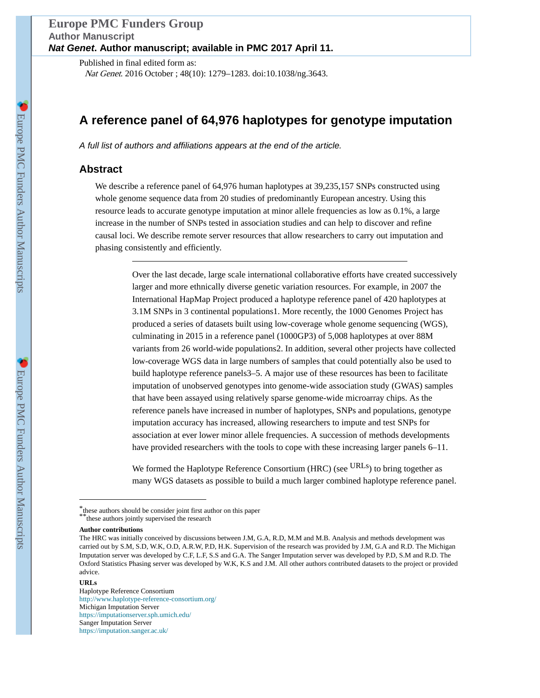# **Europe PMC Funders Group Author Manuscript Nat Genet. Author manuscript; available in PMC 2017 April 11.**

Published in final edited form as: Nat Genet. 2016 October ; 48(10): 1279–1283. doi:10.1038/ng.3643.

# **A reference panel of 64,976 haplotypes for genotype imputation**

A full list of authors and affiliations appears at the end of the article.

## **Abstract**

We describe a reference panel of 64,976 human haplotypes at 39,235,157 SNPs constructed using whole genome sequence data from 20 studies of predominantly European ancestry. Using this resource leads to accurate genotype imputation at minor allele frequencies as low as 0.1%, a large increase in the number of SNPs tested in association studies and can help to discover and refine causal loci. We describe remote server resources that allow researchers to carry out imputation and phasing consistently and efficiently.

> Over the last decade, large scale international collaborative efforts have created successively larger and more ethnically diverse genetic variation resources. For example, in 2007 the International HapMap Project produced a haplotype reference panel of 420 haplotypes at 3.1M SNPs in 3 continental populations1. More recently, the 1000 Genomes Project has produced a series of datasets built using low-coverage whole genome sequencing (WGS), culminating in 2015 in a reference panel (1000GP3) of 5,008 haplotypes at over 88M variants from 26 world-wide populations2. In addition, several other projects have collected low-coverage WGS data in large numbers of samples that could potentially also be used to build haplotype reference panels3–5. A major use of these resources has been to facilitate imputation of unobserved genotypes into genome-wide association study (GWAS) samples that have been assayed using relatively sparse genome-wide microarray chips. As the reference panels have increased in number of haplotypes, SNPs and populations, genotype imputation accuracy has increased, allowing researchers to impute and test SNPs for association at ever lower minor allele frequencies. A succession of methods developments have provided researchers with the tools to cope with these increasing larger panels 6–11.

> We formed the Haplotype Reference Consortium (HRC) (see URLs) to bring together as many WGS datasets as possible to build a much larger combined haplotype reference panel.

#### **URLs**

Haplotype Reference Consortium <http://www.haplotype-reference-consortium.org/> Michigan Imputation Server <https://imputationserver.sph.umich.edu/> Sanger Imputation Server <https://imputation.sanger.ac.uk/>

<sup>\*</sup>these authors should be consider joint first author on this paper

<sup>\*\*\*</sup>these authors jointly supervised the research

**Author contributions**

The HRC was initially conceived by discussions between J.M, G.A, R.D, M.M and M.B. Analysis and methods development was carried out by S.M, S.D, W.K, O.D, A.R.W, P.D, H.K. Supervision of the research was provided by J.M, G.A and R.D. The Michigan Imputation server was developed by C.F, L.F, S.S and G.A. The Sanger Imputation server was developed by P.D, S.M and R.D. The Oxford Statistics Phasing server was developed by W.K, K.S and J.M. All other authors contributed datasets to the project or provided advice.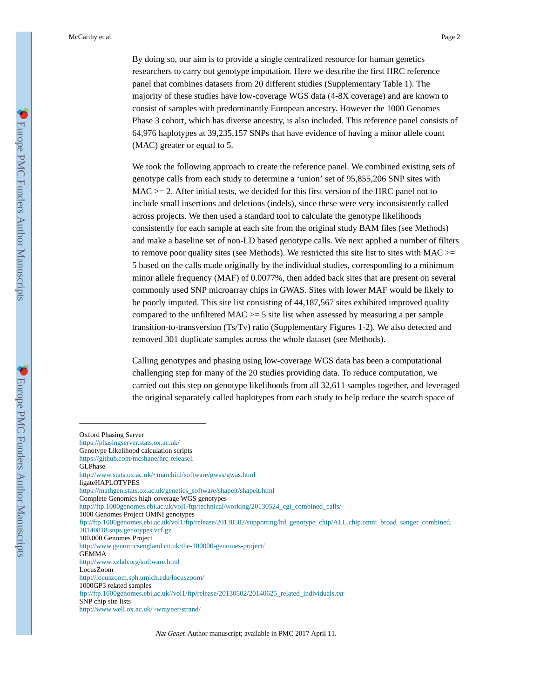By doing so, our aim is to provide a single centralized resource for human genetics researchers to carry out genotype imputation. Here we describe the first HRC reference panel that combines datasets from 20 different studies (Supplementary Table 1). The majority of these studies have low-coverage WGS data (4-8X coverage) and are known to consist of samples with predominantly European ancestry. However the 1000 Genomes Phase 3 cohort, which has diverse ancestry, is also included. This reference panel consists of 64,976 haplotypes at 39,235,157 SNPs that have evidence of having a minor allele count (MAC) greater or equal to 5.

We took the following approach to create the reference panel. We combined existing sets of genotype calls from each study to determine a 'union' set of 95,855,206 SNP sites with  $MAC \ge 2$ . After initial tests, we decided for this first version of the HRC panel not to include small insertions and deletions (indels), since these were very inconsistently called across projects. We then used a standard tool to calculate the genotype likelihoods consistently for each sample at each site from the original study BAM files (see Methods) and make a baseline set of non-LD based genotype calls. We next applied a number of filters to remove poor quality sites (see Methods). We restricted this site list to sites with  $MAC \geq$ 5 based on the calls made originally by the individual studies, corresponding to a minimum minor allele frequency (MAF) of 0.0077%, then added back sites that are present on several commonly used SNP microarray chips in GWAS. Sites with lower MAF would be likely to be poorly imputed. This site list consisting of 44,187,567 sites exhibited improved quality compared to the unfiltered  $MAC \ge 5$  site list when assessed by measuring a per sample transition-to-transversion (Ts/Tv) ratio (Supplementary Figures 1-2). We also detected and removed 301 duplicate samples across the whole dataset (see Methods).

Calling genotypes and phasing using low-coverage WGS data has been a computational challenging step for many of the 20 studies providing data. To reduce computation, we carried out this step on genotype likelihoods from all 32,611 samples together, and leveraged the original separately called haplotypes from each study to help reduce the search space of

Oxford Phasing Server <https://phasingserver.stats.ox.ac.uk/> Genotype Likelihood calculation scripts <https://github.com/mcshane/hrc-release1> GLPhase <http://www.stats.ox.ac.uk/~marchini/software/gwas/gwas.html> ligateHAPLOTYPES [https://mathgen.stats.ox.ac.uk/genetics\\_software/shapeit/shapeit.html](https://mathgen.stats.ox.ac.uk/genetics_software/shapeit/shapeit.html) Complete Genomics high-coverage WGS genotypes [http://ftp.1000genomes.ebi.ac.uk/vol1/ftp/technical/working/20130524\\_cgi\\_combined\\_calls/](http://ftp.1000genomes.ebi.ac.uk/vol1/ftp/technical/working/20130524_cgi_combined_calls/) 1000 Genomes Project OMNI genotypes [ftp://ftp.1000genomes.ebi.ac.uk/vol1/ftp/release/20130502/supporting/hd\\_genotype\\_chip/ALL.chip.omni\\_broad\\_sanger\\_combined.](ftp://ftp.1000genomes.ebi.ac.uk/vol1/ftp/release/20130502/supporting/hd_genotype_chip/ALL.chip.omni_broad_sanger_combined.20140818.snps.genotypes.vcf.gz) [20140818.snps.genotypes.vcf.gz](ftp://ftp.1000genomes.ebi.ac.uk/vol1/ftp/release/20130502/supporting/hd_genotype_chip/ALL.chip.omni_broad_sanger_combined.20140818.snps.genotypes.vcf.gz) 100,000 Genomes Project <http://www.genomicsengland.co.uk/the-100000-genomes-project/> GEMMA <http://www.xzlab.org/software.html> LocusZoom <http://locuszoom.sph.umich.edu/locuszoom/> 1000GP3 related samples [ftp://ftp.1000genomes.ebi.ac.uk//vol1/ftp/release/20130502/20140625\\_related\\_individuals.txt](ftp://ftp.1000genomes.ebi.ac.uk//vol1/ftp/release/20130502/20140625_related_individuals.txt) SNP chip site lists <http://www.well.ox.ac.uk/~wrayner/strand/>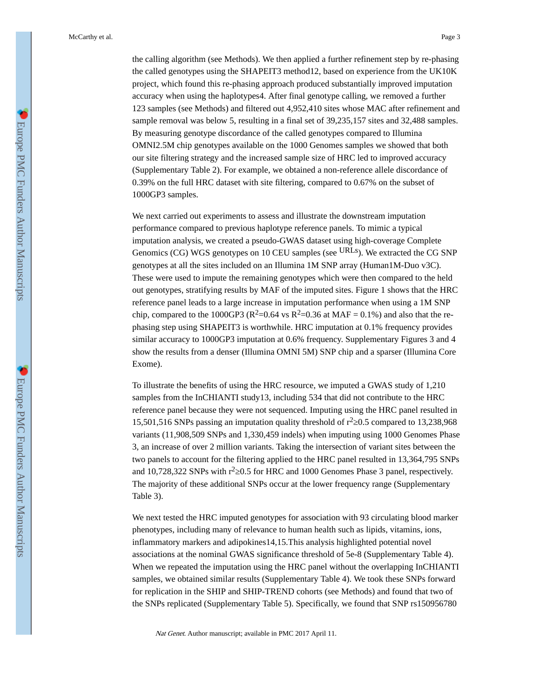the calling algorithm (see Methods). We then applied a further refinement step by re-phasing the called genotypes using the SHAPEIT3 method12, based on experience from the UK10K project, which found this re-phasing approach produced substantially improved imputation accuracy when using the haplotypes4. After final genotype calling, we removed a further 123 samples (see Methods) and filtered out 4,952,410 sites whose MAC after refinement and sample removal was below 5, resulting in a final set of 39,235,157 sites and 32,488 samples. By measuring genotype discordance of the called genotypes compared to Illumina OMNI2.5M chip genotypes available on the 1000 Genomes samples we showed that both our site filtering strategy and the increased sample size of HRC led to improved accuracy (Supplementary Table 2). For example, we obtained a non-reference allele discordance of 0.39% on the full HRC dataset with site filtering, compared to 0.67% on the subset of 1000GP3 samples.

We next carried out experiments to assess and illustrate the downstream imputation performance compared to previous haplotype reference panels. To mimic a typical imputation analysis, we created a pseudo-GWAS dataset using high-coverage Complete Genomics (CG) WGS genotypes on 10 CEU samples (see URLs). We extracted the CG SNP genotypes at all the sites included on an Illumina 1M SNP array (Human1M-Duo v3C). These were used to impute the remaining genotypes which were then compared to the held out genotypes, stratifying results by MAF of the imputed sites. Figure 1 shows that the HRC reference panel leads to a large increase in imputation performance when using a 1M SNP chip, compared to the 1000GP3 ( $R^2$ =0.64 vs  $R^2$ =0.36 at MAF = 0.1%) and also that the rephasing step using SHAPEIT3 is worthwhile. HRC imputation at 0.1% frequency provides similar accuracy to 1000GP3 imputation at 0.6% frequency. Supplementary Figures 3 and 4 show the results from a denser (Illumina OMNI 5M) SNP chip and a sparser (Illumina Core Exome).

To illustrate the benefits of using the HRC resource, we imputed a GWAS study of 1,210 samples from the InCHIANTI study13, including 534 that did not contribute to the HRC reference panel because they were not sequenced. Imputing using the HRC panel resulted in 15,501,516 SNPs passing an imputation quality threshold of  $r^2$  0.5 compared to 13,238,968 variants (11,908,509 SNPs and 1,330,459 indels) when imputing using 1000 Genomes Phase 3, an increase of over 2 million variants. Taking the intersection of variant sites between the two panels to account for the filtering applied to the HRC panel resulted in 13,364,795 SNPs and 10,728,322 SNPs with  $r^2$  0.5 for HRC and 1000 Genomes Phase 3 panel, respectively. The majority of these additional SNPs occur at the lower frequency range (Supplementary Table 3).

We next tested the HRC imputed genotypes for association with 93 circulating blood marker phenotypes, including many of relevance to human health such as lipids, vitamins, ions, inflammatory markers and adipokines14,15.This analysis highlighted potential novel associations at the nominal GWAS significance threshold of 5e-8 (Supplementary Table 4). When we repeated the imputation using the HRC panel without the overlapping InCHIANTI samples, we obtained similar results (Supplementary Table 4). We took these SNPs forward for replication in the SHIP and SHIP-TREND cohorts (see Methods) and found that two of the SNPs replicated (Supplementary Table 5). Specifically, we found that SNP rs150956780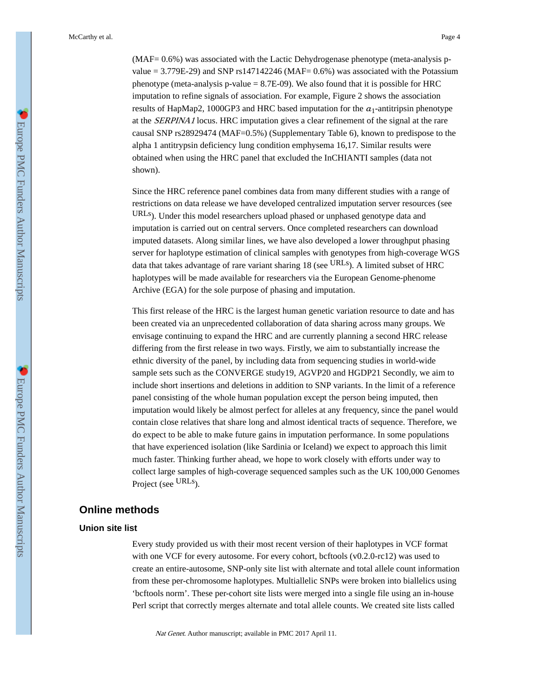(MAF= 0.6%) was associated with the Lactic Dehydrogenase phenotype (meta-analysis pvalue = 3.779E-29) and SNP rs147142246 (MAF= 0.6%) was associated with the Potassium phenotype (meta-analysis p-value = 8.7E-09). We also found that it is possible for HRC imputation to refine signals of association. For example, Figure 2 shows the association results of HapMap2, 1000GP3 and HRC based imputation for the  $\alpha_1$ -antitripsin phenotype at the SERPINA1 locus. HRC imputation gives a clear refinement of the signal at the rare causal SNP rs28929474 (MAF=0.5%) (Supplementary Table 6), known to predispose to the alpha 1 antitrypsin deficiency lung condition emphysema 16,17. Similar results were obtained when using the HRC panel that excluded the InCHIANTI samples (data not shown).

Since the HRC reference panel combines data from many different studies with a range of restrictions on data release we have developed centralized imputation server resources (see URLs). Under this model researchers upload phased or unphased genotype data and imputation is carried out on central servers. Once completed researchers can download imputed datasets. Along similar lines, we have also developed a lower throughput phasing server for haplotype estimation of clinical samples with genotypes from high-coverage WGS data that takes advantage of rare variant sharing 18 (see URLs). A limited subset of HRC haplotypes will be made available for researchers via the European Genome-phenome Archive (EGA) for the sole purpose of phasing and imputation.

This first release of the HRC is the largest human genetic variation resource to date and has been created via an unprecedented collaboration of data sharing across many groups. We envisage continuing to expand the HRC and are currently planning a second HRC release differing from the first release in two ways. Firstly, we aim to substantially increase the ethnic diversity of the panel, by including data from sequencing studies in world-wide sample sets such as the CONVERGE study19, AGVP20 and HGDP21 Secondly, we aim to include short insertions and deletions in addition to SNP variants. In the limit of a reference panel consisting of the whole human population except the person being imputed, then imputation would likely be almost perfect for alleles at any frequency, since the panel would contain close relatives that share long and almost identical tracts of sequence. Therefore, we do expect to be able to make future gains in imputation performance. In some populations that have experienced isolation (like Sardinia or Iceland) we expect to approach this limit much faster. Thinking further ahead, we hope to work closely with efforts under way to collect large samples of high-coverage sequenced samples such as the UK 100,000 Genomes Project (see URLs).

### **Online methods**

### **Union site list**

Every study provided us with their most recent version of their haplotypes in VCF format with one VCF for every autosome. For every cohort, bcftools (v0.2.0-rc12) was used to create an entire-autosome, SNP-only site list with alternate and total allele count information from these per-chromosome haplotypes. Multiallelic SNPs were broken into biallelics using 'bcftools norm'. These per-cohort site lists were merged into a single file using an in-house Perl script that correctly merges alternate and total allele counts. We created site lists called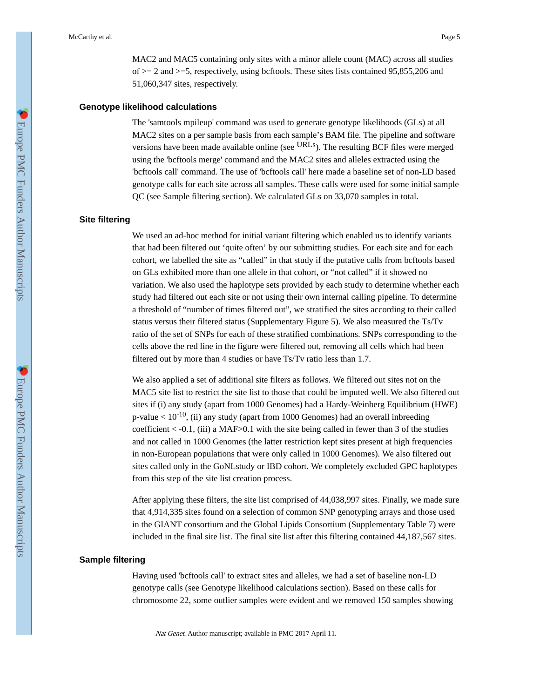MAC2 and MAC5 containing only sites with a minor allele count (MAC) across all studies of  $>= 2$  and  $>= 5$ , respectively, using bcftools. These sites lists contained 95,855,206 and 51,060,347 sites, respectively.

### **Genotype likelihood calculations**

The 'samtools mpileup' command was used to generate genotype likelihoods (GLs) at all MAC2 sites on a per sample basis from each sample's BAM file. The pipeline and software versions have been made available online (see URLs). The resulting BCF files were merged using the 'bcftools merge' command and the MAC2 sites and alleles extracted using the 'bcftools call' command. The use of 'bcftools call' here made a baseline set of non-LD based genotype calls for each site across all samples. These calls were used for some initial sample QC (see Sample filtering section). We calculated GLs on 33,070 samples in total.

### **Site filtering**

We used an ad-hoc method for initial variant filtering which enabled us to identify variants that had been filtered out 'quite often' by our submitting studies. For each site and for each cohort, we labelled the site as "called" in that study if the putative calls from bcftools based on GLs exhibited more than one allele in that cohort, or "not called" if it showed no variation. We also used the haplotype sets provided by each study to determine whether each study had filtered out each site or not using their own internal calling pipeline. To determine a threshold of "number of times filtered out", we stratified the sites according to their called status versus their filtered status (Supplementary Figure 5). We also measured the Ts/Tv ratio of the set of SNPs for each of these stratified combinations. SNPs corresponding to the cells above the red line in the figure were filtered out, removing all cells which had been filtered out by more than 4 studies or have Ts/Tv ratio less than 1.7.

We also applied a set of additional site filters as follows. We filtered out sites not on the MAC5 site list to restrict the site list to those that could be imputed well. We also filtered out sites if (i) any study (apart from 1000 Genomes) had a Hardy-Weinberg Equilibrium (HWE) p-value  $< 10^{-10}$ , (ii) any study (apart from 1000 Genomes) had an overall inbreeding coefficient  $<-0.1$ , (iii) a MAF $>0.1$  with the site being called in fewer than 3 of the studies and not called in 1000 Genomes (the latter restriction kept sites present at high frequencies in non-European populations that were only called in 1000 Genomes). We also filtered out sites called only in the GoNLstudy or IBD cohort. We completely excluded GPC haplotypes from this step of the site list creation process.

After applying these filters, the site list comprised of 44,038,997 sites. Finally, we made sure that 4,914,335 sites found on a selection of common SNP genotyping arrays and those used in the GIANT consortium and the Global Lipids Consortium (Supplementary Table 7) were included in the final site list. The final site list after this filtering contained 44,187,567 sites.

#### **Sample filtering**

Having used 'bcftools call' to extract sites and alleles, we had a set of baseline non-LD genotype calls (see Genotype likelihood calculations section). Based on these calls for chromosome 22, some outlier samples were evident and we removed 150 samples showing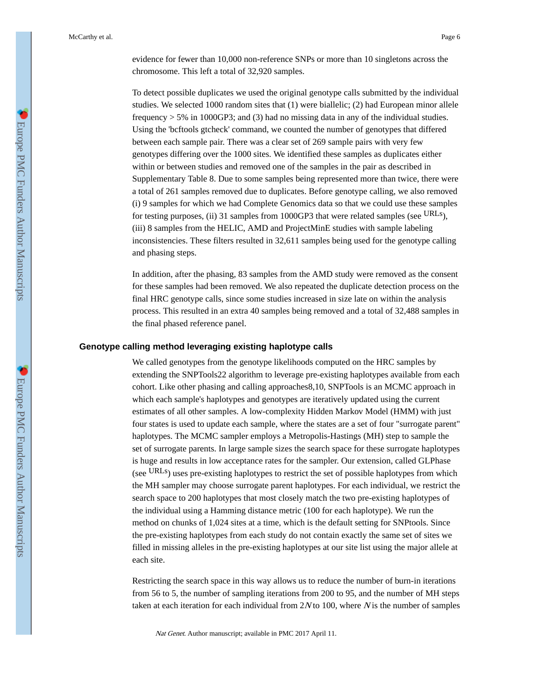To detect possible duplicates we used the original genotype calls submitted by the individual studies. We selected 1000 random sites that (1) were biallelic; (2) had European minor allele frequency  $> 5\%$  in 1000GP3; and (3) had no missing data in any of the individual studies. Using the 'bcftools gtcheck' command, we counted the number of genotypes that differed between each sample pair. There was a clear set of 269 sample pairs with very few genotypes differing over the 1000 sites. We identified these samples as duplicates either within or between studies and removed one of the samples in the pair as described in Supplementary Table 8. Due to some samples being represented more than twice, there were a total of 261 samples removed due to duplicates. Before genotype calling, we also removed (i) 9 samples for which we had Complete Genomics data so that we could use these samples for testing purposes, (ii) 31 samples from 1000GP3 that were related samples (see URLs), (iii) 8 samples from the HELIC, AMD and ProjectMinE studies with sample labeling inconsistencies. These filters resulted in 32,611 samples being used for the genotype calling and phasing steps.

In addition, after the phasing, 83 samples from the AMD study were removed as the consent for these samples had been removed. We also repeated the duplicate detection process on the final HRC genotype calls, since some studies increased in size late on within the analysis process. This resulted in an extra 40 samples being removed and a total of 32,488 samples in the final phased reference panel.

### **Genotype calling method leveraging existing haplotype calls**

We called genotypes from the genotype likelihoods computed on the HRC samples by extending the SNPTools22 algorithm to leverage pre-existing haplotypes available from each cohort. Like other phasing and calling approaches8,10, SNPTools is an MCMC approach in which each sample's haplotypes and genotypes are iteratively updated using the current estimates of all other samples. A low-complexity Hidden Markov Model (HMM) with just four states is used to update each sample, where the states are a set of four "surrogate parent" haplotypes. The MCMC sampler employs a Metropolis-Hastings (MH) step to sample the set of surrogate parents. In large sample sizes the search space for these surrogate haplotypes is huge and results in low acceptance rates for the sampler. Our extension, called GLPhase (see URLs) uses pre-existing haplotypes to restrict the set of possible haplotypes from which the MH sampler may choose surrogate parent haplotypes. For each individual, we restrict the search space to 200 haplotypes that most closely match the two pre-existing haplotypes of the individual using a Hamming distance metric (100 for each haplotype). We run the method on chunks of 1,024 sites at a time, which is the default setting for SNPtools. Since the pre-existing haplotypes from each study do not contain exactly the same set of sites we filled in missing alleles in the pre-existing haplotypes at our site list using the major allele at each site.

Restricting the search space in this way allows us to reduce the number of burn-in iterations from 56 to 5, the number of sampling iterations from 200 to 95, and the number of MH steps taken at each iteration for each individual from  $2N$  to 100, where N is the number of samples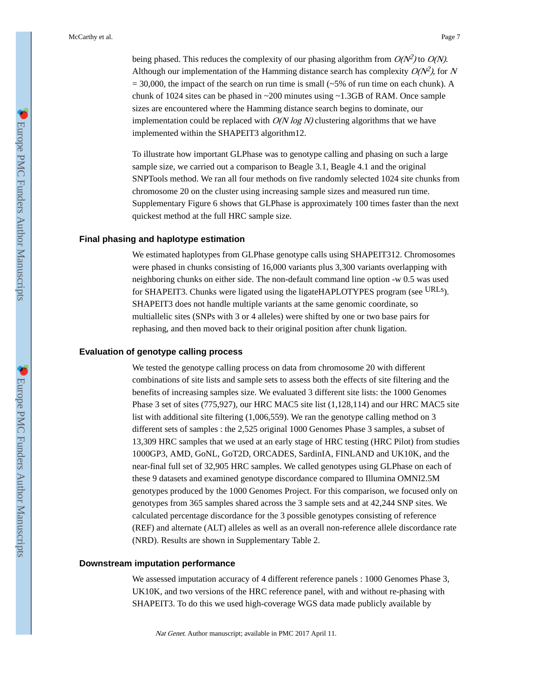being phased. This reduces the complexity of our phasing algorithm from  $O(N^2)$  to  $O(N)$ . Although our implementation of the Hamming distance search has complexity  $O(N^2)$ , for N  $= 30,000$ , the impact of the search on run time is small ( $\sim 5\%$  of run time on each chunk). A chunk of 1024 sites can be phased in ~200 minutes using ~1.3GB of RAM. Once sample sizes are encountered where the Hamming distance search begins to dominate, our implementation could be replaced with  $O(N \log N)$  clustering algorithms that we have implemented within the SHAPEIT3 algorithm12.

To illustrate how important GLPhase was to genotype calling and phasing on such a large sample size, we carried out a comparison to Beagle 3.1, Beagle 4.1 and the original SNPTools method. We ran all four methods on five randomly selected 1024 site chunks from chromosome 20 on the cluster using increasing sample sizes and measured run time. Supplementary Figure 6 shows that GLPhase is approximately 100 times faster than the next quickest method at the full HRC sample size.

#### **Final phasing and haplotype estimation**

We estimated haplotypes from GLPhase genotype calls using SHAPEIT312. Chromosomes were phased in chunks consisting of 16,000 variants plus 3,300 variants overlapping with neighboring chunks on either side. The non-default command line option -w 0.5 was used for SHAPEIT3. Chunks were ligated using the ligateHAPLOTYPES program (see URLs). SHAPEIT3 does not handle multiple variants at the same genomic coordinate, so multiallelic sites (SNPs with 3 or 4 alleles) were shifted by one or two base pairs for rephasing, and then moved back to their original position after chunk ligation.

# **Evaluation of genotype calling process**

We tested the genotype calling process on data from chromosome 20 with different combinations of site lists and sample sets to assess both the effects of site filtering and the benefits of increasing samples size. We evaluated 3 different site lists: the 1000 Genomes Phase 3 set of sites (775,927), our HRC MAC5 site list (1,128,114) and our HRC MAC5 site list with additional site filtering (1,006,559). We ran the genotype calling method on 3 different sets of samples : the 2,525 original 1000 Genomes Phase 3 samples, a subset of 13,309 HRC samples that we used at an early stage of HRC testing (HRC Pilot) from studies 1000GP3, AMD, GoNL, GoT2D, ORCADES, SardinIA, FINLAND and UK10K, and the near-final full set of 32,905 HRC samples. We called genotypes using GLPhase on each of these 9 datasets and examined genotype discordance compared to Illumina OMNI2.5M genotypes produced by the 1000 Genomes Project. For this comparison, we focused only on genotypes from 365 samples shared across the 3 sample sets and at 42,244 SNP sites. We calculated percentage discordance for the 3 possible genotypes consisting of reference (REF) and alternate (ALT) alleles as well as an overall non-reference allele discordance rate (NRD). Results are shown in Supplementary Table 2.

### **Downstream imputation performance**

We assessed imputation accuracy of 4 different reference panels : 1000 Genomes Phase 3, UK10K, and two versions of the HRC reference panel, with and without re-phasing with SHAPEIT3. To do this we used high-coverage WGS data made publicly available by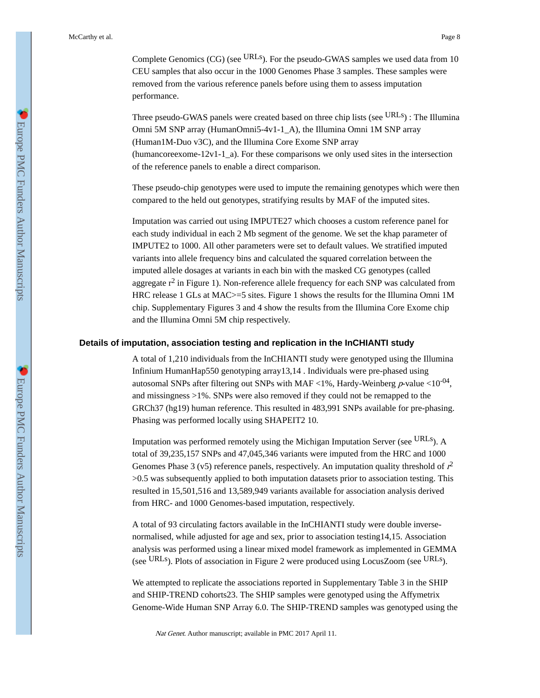Complete Genomics (CG) (see <sup>URLs</sup>). For the pseudo-GWAS samples we used data from 10 CEU samples that also occur in the 1000 Genomes Phase 3 samples. These samples were removed from the various reference panels before using them to assess imputation performance.

Three pseudo-GWAS panels were created based on three chip lists (see URLs) : The Illumina Omni 5M SNP array (HumanOmni5-4v1-1\_A), the Illumina Omni 1M SNP array (Human1M-Duo v3C), and the Illumina Core Exome SNP array (humancoreexome-12v1-1\_a). For these comparisons we only used sites in the intersection of the reference panels to enable a direct comparison.

These pseudo-chip genotypes were used to impute the remaining genotypes which were then compared to the held out genotypes, stratifying results by MAF of the imputed sites.

Imputation was carried out using IMPUTE27 which chooses a custom reference panel for each study individual in each 2 Mb segment of the genome. We set the khap parameter of IMPUTE2 to 1000. All other parameters were set to default values. We stratified imputed variants into allele frequency bins and calculated the squared correlation between the imputed allele dosages at variants in each bin with the masked CG genotypes (called aggregate  $r^2$  in Figure 1). Non-reference allele frequency for each SNP was calculated from HRC release 1 GLs at MAC>=5 sites. Figure 1 shows the results for the Illumina Omni 1M chip. Supplementary Figures 3 and 4 show the results from the Illumina Core Exome chip and the Illumina Omni 5M chip respectively.

### **Details of imputation, association testing and replication in the InCHIANTI study**

A total of 1,210 individuals from the InCHIANTI study were genotyped using the Illumina Infinium HumanHap550 genotyping array13,14 . Individuals were pre-phased using autosomal SNPs after filtering out SNPs with MAF <1%, Hardy-Weinberg  $p$ -value <10<sup>-04</sup>, and missingness >1%. SNPs were also removed if they could not be remapped to the GRCh37 (hg19) human reference. This resulted in 483,991 SNPs available for pre-phasing. Phasing was performed locally using SHAPEIT2 10.

Imputation was performed remotely using the Michigan Imputation Server (see URLs). A total of 39,235,157 SNPs and 47,045,346 variants were imputed from the HRC and 1000 Genomes Phase 3 (v5) reference panels, respectively. An imputation quality threshold of  $r^2$ >0.5 was subsequently applied to both imputation datasets prior to association testing. This resulted in 15,501,516 and 13,589,949 variants available for association analysis derived from HRC- and 1000 Genomes-based imputation, respectively.

A total of 93 circulating factors available in the InCHIANTI study were double inversenormalised, while adjusted for age and sex, prior to association testing14,15. Association analysis was performed using a linear mixed model framework as implemented in GEMMA (see URLs). Plots of association in Figure 2 were produced using LocusZoom (see URLs).

We attempted to replicate the associations reported in Supplementary Table 3 in the SHIP and SHIP-TREND cohorts23. The SHIP samples were genotyped using the Affymetrix Genome-Wide Human SNP Array 6.0. The SHIP-TREND samples was genotyped using the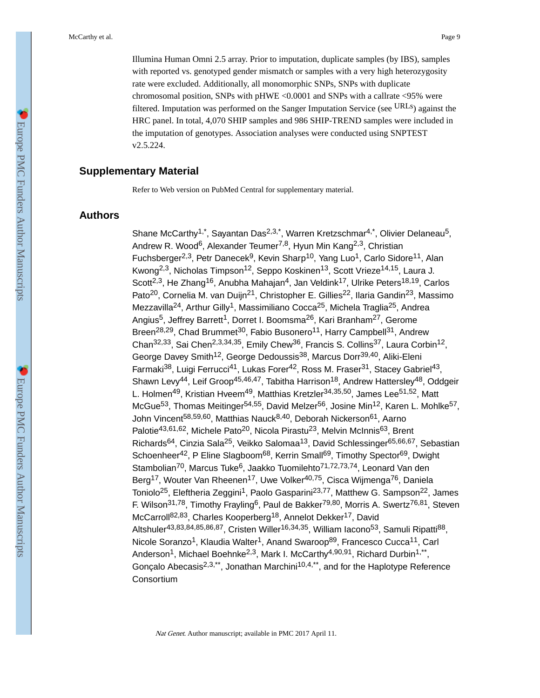Illumina Human Omni 2.5 array. Prior to imputation, duplicate samples (by IBS), samples with reported vs. genotyped gender mismatch or samples with a very high heterozygosity rate were excluded. Additionally, all monomorphic SNPs, SNPs with duplicate chromosomal position, SNPs with pHWE <0.0001 and SNPs with a callrate <95% were filtered. Imputation was performed on the Sanger Imputation Service (see URLs) against the HRC panel. In total, 4,070 SHIP samples and 986 SHIP-TREND samples were included in the imputation of genotypes. Association analyses were conducted using SNPTEST v2.5.224.

# **Supplementary Material**

Refer to Web version on PubMed Central for supplementary material.

# **Authors**

Shane McCarthy<sup>1,\*</sup>, Sayantan Das<sup>2,3,\*</sup>, Warren Kretzschmar<sup>4,\*</sup>, Olivier Delaneau<sup>5</sup>, Andrew R. Wood<sup>6</sup>, Alexander Teumer<sup>7,8</sup>, Hyun Min Kang<sup>2,3</sup>, Christian Fuchsberger<sup>2,3</sup>, Petr Danecek<sup>9</sup>, Kevin Sharp<sup>10</sup>, Yang Luo<sup>1</sup>, Carlo Sidore<sup>11</sup>, Alan Kwong<sup>2,3</sup>, Nicholas Timpson<sup>12</sup>, Seppo Koskinen<sup>13</sup>, Scott Vrieze<sup>14,15</sup>, Laura J. Scott<sup>2,3</sup>, He Zhang<sup>16</sup>, Anubha Mahajan<sup>4</sup>, Jan Veldink<sup>17</sup>, Ulrike Peters<sup>18,19</sup>, Carlos Pato<sup>20</sup>, Cornelia M. van Duijn<sup>21</sup>, Christopher E. Gillies<sup>22</sup>, Ilaria Gandin<sup>23</sup>, Massimo Mezzavilla<sup>24</sup>, Arthur Gilly<sup>1</sup>, Massimiliano Cocca<sup>25</sup>, Michela Traglia<sup>25</sup>, Andrea Angius<sup>5</sup>, Jeffrey Barrett<sup>1</sup>, Dorret I. Boomsma<sup>26</sup>, Kari Branham<sup>27</sup>, Gerome Breen<sup>28,29</sup>, Chad Brummet<sup>30</sup>, Fabio Busonero<sup>11</sup>, Harry Campbell<sup>31</sup>, Andrew Chan<sup>32,33</sup>, Sai Chen<sup>2,3,34,35</sup>, Emily Chew<sup>36</sup>, Francis S. Collins<sup>37</sup>, Laura Corbin<sup>12</sup>, George Davey Smith<sup>12</sup>, George Dedoussis<sup>38</sup>, Marcus Dorr<sup>39,40</sup>, Aliki-Eleni Farmaki<sup>38</sup>, Luigi Ferrucci<sup>41</sup>, Lukas Forer<sup>42</sup>, Ross M. Fraser<sup>31</sup>, Stacey Gabriel<sup>43</sup>, Shawn Levy<sup>44</sup>, Leif Groop<sup>45,46,47</sup>, Tabitha Harrison<sup>18</sup>, Andrew Hattersley<sup>48</sup>, Oddgeir L. Holmen<sup>49</sup>, Kristian Hveem<sup>49</sup>, Matthias Kretzler<sup>34,35,50</sup>, James Lee<sup>51,52</sup>, Matt McGue<sup>53</sup>, Thomas Meitinger<sup>54,55</sup>, David Melzer<sup>56</sup>, Josine Min<sup>12</sup>, Karen L. Mohlke<sup>57</sup>, John Vincent<sup>58,59,60</sup>, Matthias Nauck<sup>8,40</sup>, Deborah Nickerson<sup>61</sup>, Aarno Palotie<sup>43,61,62</sup>, Michele Pato<sup>20</sup>, Nicola Pirastu<sup>23</sup>, Melvin McInnis<sup>63</sup>, Brent Richards<sup>64</sup>, Cinzia Sala<sup>25</sup>, Veikko Salomaa<sup>13</sup>, David Schlessinger<sup>65,66,67</sup>, Sebastian Schoenheer<sup>42</sup>, P Eline Slagboom<sup>68</sup>, Kerrin Small<sup>69</sup>, Timothy Spector<sup>69</sup>, Dwight Stambolian<sup>70</sup>, Marcus Tuke<sup>6</sup>, Jaakko Tuomilehto<sup>71,72,73,74</sup>, Leonard Van den Berg<sup>17</sup>, Wouter Van Rheenen<sup>17</sup>, Uwe Volker<sup>40,75</sup>, Cisca Wijmenga<sup>76</sup>, Daniela Toniolo<sup>25</sup>, Eleftheria Zeggini<sup>1</sup>, Paolo Gasparini<sup>23,77</sup>, Matthew G. Sampson<sup>22</sup>, James F. Wilson<sup>31,78</sup>, Timothy Frayling<sup>6</sup>, Paul de Bakker<sup>79,80</sup>, Morris A. Swertz<sup>76,81</sup>, Steven McCarroll<sup>82,83</sup>, Charles Kooperberg<sup>18</sup>, Annelot Dekker<sup>17</sup>, David Altshuler<sup>43,83,84,85,86,87</sup>, Cristen Willer<sup>16,34,35</sup>, William Iacono<sup>53</sup>, Samuli Ripatti<sup>88</sup>, Nicole Soranzo<sup>1</sup>, Klaudia Walter<sup>1</sup>, Anand Swaroop<sup>89</sup>, Francesco Cucca<sup>11</sup>, Carl Anderson<sup>1</sup>, Michael Boehnke<sup>2,3</sup>, Mark I. McCarthy<sup>4,90,91</sup>, Richard Durbin<sup>1,\*\*</sup>, Gonçalo Abecasis<sup>2,3,\*\*</sup>, Jonathan Marchini<sup>10,4,\*\*</sup>, and for the Haplotype Reference **Consortium**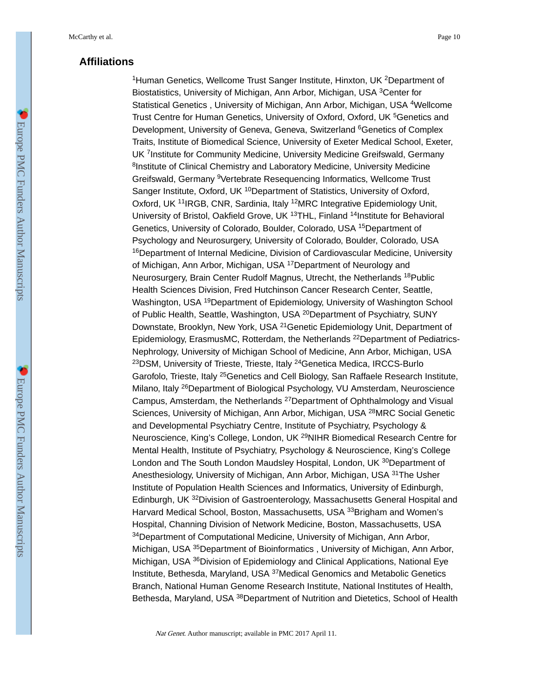# **Affiliations**

<sup>1</sup>Human Genetics, Wellcome Trust Sanger Institute, Hinxton, UK <sup>2</sup>Department of Biostatistics, University of Michigan, Ann Arbor, Michigan, USA <sup>3</sup>Center for Statistical Genetics , University of Michigan, Ann Arbor, Michigan, USA <sup>4</sup>Wellcome Trust Centre for Human Genetics, University of Oxford, Oxford, UK <sup>5</sup>Genetics and Development, University of Geneva, Geneva, Switzerland <sup>6</sup>Genetics of Complex Traits, Institute of Biomedical Science, University of Exeter Medical School, Exeter, UK <sup>7</sup>Institute for Community Medicine, University Medicine Greifswald, Germany <sup>8</sup>Institute of Clinical Chemistry and Laboratory Medicine, University Medicine Greifswald, Germany <sup>9</sup>Vertebrate Resequencing Informatics, Wellcome Trust Sanger Institute, Oxford, UK <sup>10</sup>Department of Statistics, University of Oxford, Oxford, UK <sup>11</sup>IRGB, CNR, Sardinia, Italy <sup>12</sup>MRC Integrative Epidemiology Unit, University of Bristol, Oakfield Grove, UK <sup>13</sup>THL, Finland <sup>14</sup>Institute for Behavioral Genetics, University of Colorado, Boulder, Colorado, USA <sup>15</sup>Department of Psychology and Neurosurgery, University of Colorado, Boulder, Colorado, USA <sup>16</sup>Department of Internal Medicine, Division of Cardiovascular Medicine, University of Michigan, Ann Arbor, Michigan, USA <sup>17</sup>Department of Neurology and Neurosurgery, Brain Center Rudolf Magnus, Utrecht, the Netherlands <sup>18</sup>Public Health Sciences Division, Fred Hutchinson Cancer Research Center, Seattle, Washington, USA <sup>19</sup>Department of Epidemiology, University of Washington School of Public Health, Seattle, Washington, USA <sup>20</sup>Department of Psychiatry, SUNY Downstate, Brooklyn, New York, USA <sup>21</sup>Genetic Epidemiology Unit, Department of Epidemiology, ErasmusMC, Rotterdam, the Netherlands 22Department of Pediatrics-Nephrology, University of Michigan School of Medicine, Ann Arbor, Michigan, USA <sup>23</sup>DSM, University of Trieste, Trieste, Italy <sup>24</sup>Genetica Medica, IRCCS-Burlo Garofolo, Trieste, Italy <sup>25</sup>Genetics and Cell Biology, San Raffaele Research Institute, Milano, Italy <sup>26</sup>Department of Biological Psychology, VU Amsterdam, Neuroscience Campus, Amsterdam, the Netherlands <sup>27</sup>Department of Ophthalmology and Visual Sciences, University of Michigan, Ann Arbor, Michigan, USA <sup>28</sup>MRC Social Genetic and Developmental Psychiatry Centre, Institute of Psychiatry, Psychology & Neuroscience, King's College, London, UK <sup>29</sup>NIHR Biomedical Research Centre for Mental Health, Institute of Psychiatry, Psychology & Neuroscience, King's College London and The South London Maudsley Hospital, London, UK <sup>30</sup>Department of Anesthesiology, University of Michigan, Ann Arbor, Michigan, USA 31The Usher Institute of Population Health Sciences and Informatics, University of Edinburgh, Edinburgh, UK <sup>32</sup>Division of Gastroenterology, Massachusetts General Hospital and Harvard Medical School, Boston, Massachusetts, USA 33Brigham and Women's Hospital, Channing Division of Network Medicine, Boston, Massachusetts, USA <sup>34</sup>Department of Computational Medicine, University of Michigan, Ann Arbor, Michigan, USA <sup>35</sup>Department of Bioinformatics , University of Michigan, Ann Arbor, Michigan, USA <sup>36</sup>Division of Epidemiology and Clinical Applications, National Eye Institute, Bethesda, Maryland, USA <sup>37</sup>Medical Genomics and Metabolic Genetics Branch, National Human Genome Research Institute, National Institutes of Health, Bethesda, Maryland, USA <sup>38</sup>Department of Nutrition and Dietetics, School of Health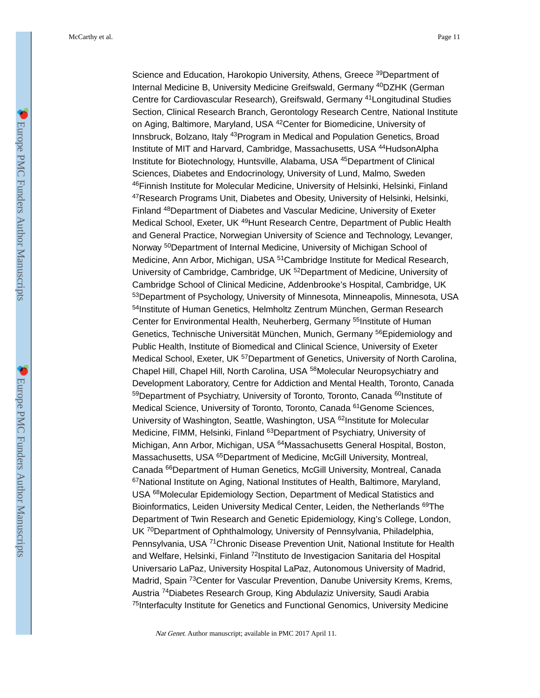Science and Education, Harokopio University, Athens, Greece <sup>39</sup>Department of Internal Medicine B, University Medicine Greifswald, Germany <sup>40</sup>DZHK (German Centre for Cardiovascular Research), Greifswald, Germany <sup>41</sup>Longitudinal Studies Section, Clinical Research Branch, Gerontology Research Centre, National Institute on Aging, Baltimore, Maryland, USA <sup>42</sup>Center for Biomedicine, University of Innsbruck, Bolzano, Italy <sup>43</sup>Program in Medical and Population Genetics, Broad Institute of MIT and Harvard, Cambridge, Massachusetts, USA <sup>44</sup>HudsonAlpha Institute for Biotechnology, Huntsville, Alabama, USA <sup>45</sup>Department of Clinical Sciences, Diabetes and Endocrinology, University of Lund, Malmo, Sweden <sup>46</sup>Finnish Institute for Molecular Medicine, University of Helsinki, Helsinki, Finland <sup>47</sup>Research Programs Unit, Diabetes and Obesity, University of Helsinki, Helsinki, Finland <sup>48</sup>Department of Diabetes and Vascular Medicine, University of Exeter Medical School, Exeter, UK <sup>49</sup>Hunt Research Centre, Department of Public Health and General Practice, Norwegian University of Science and Technology, Levanger, Norway 50Department of Internal Medicine, University of Michigan School of Medicine, Ann Arbor, Michigan, USA <sup>51</sup>Cambridge Institute for Medical Research, University of Cambridge, Cambridge, UK <sup>52</sup>Department of Medicine, University of Cambridge School of Clinical Medicine, Addenbrooke's Hospital, Cambridge, UK <sup>53</sup>Department of Psychology, University of Minnesota, Minneapolis, Minnesota, USA <sup>54</sup>Institute of Human Genetics, Helmholtz Zentrum München, German Research Center for Environmental Health, Neuherberg, Germany <sup>55</sup>Institute of Human Genetics, Technische Universität München, Munich, Germany <sup>56</sup>Epidemiology and Public Health, Institute of Biomedical and Clinical Science, University of Exeter Medical School, Exeter, UK <sup>57</sup>Department of Genetics, University of North Carolina. Chapel Hill, Chapel Hill, North Carolina, USA <sup>58</sup>Molecular Neuropsychiatry and Development Laboratory, Centre for Addiction and Mental Health, Toronto, Canada 59Department of Psychiatry, University of Toronto, Toronto, Canada <sup>60</sup>Institute of Medical Science, University of Toronto, Toronto, Canada <sup>61</sup>Genome Sciences, University of Washington, Seattle, Washington, USA <sup>62</sup>Institute for Molecular Medicine, FIMM, Helsinki, Finland <sup>63</sup>Department of Psychiatry, University of Michigan, Ann Arbor, Michigan, USA <sup>64</sup>Massachusetts General Hospital, Boston, Massachusetts, USA <sup>65</sup>Department of Medicine, McGill University, Montreal, Canada 66Department of Human Genetics, McGill University, Montreal, Canada <sup>67</sup>National Institute on Aging, National Institutes of Health, Baltimore, Maryland, USA <sup>68</sup>Molecular Epidemiology Section, Department of Medical Statistics and Bioinformatics, Leiden University Medical Center, Leiden, the Netherlands <sup>69</sup>The Department of Twin Research and Genetic Epidemiology, King's College, London, UK <sup>70</sup>Department of Ophthalmology, University of Pennsylvania, Philadelphia, Pennsylvania, USA <sup>71</sup>Chronic Disease Prevention Unit, National Institute for Health and Welfare, Helsinki, Finland <sup>72</sup>Instituto de Investigacion Sanitaria del Hospital Universario LaPaz, University Hospital LaPaz, Autonomous University of Madrid, Madrid, Spain <sup>73</sup>Center for Vascular Prevention, Danube University Krems, Krems, Austria <sup>74</sup>Diabetes Research Group, King Abdulaziz University, Saudi Arabia <sup>75</sup>Interfaculty Institute for Genetics and Functional Genomics, University Medicine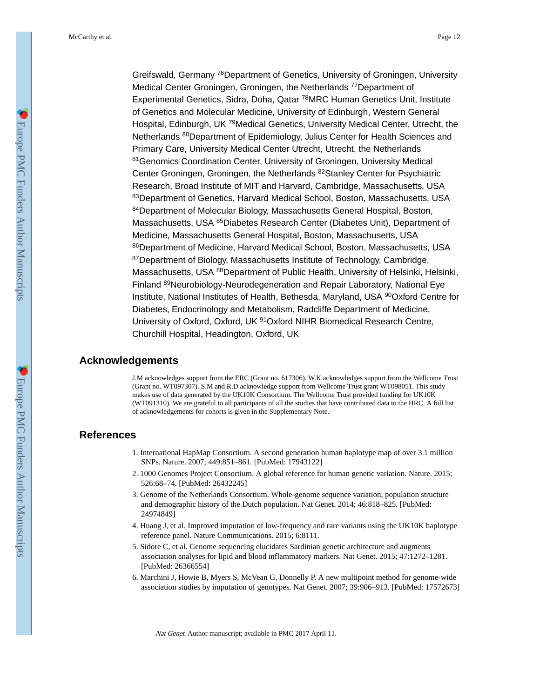Greifswald, Germany <sup>76</sup>Department of Genetics, University of Groningen, University Medical Center Groningen, Groningen, the Netherlands<sup>77</sup>Department of Experimental Genetics, Sidra, Doha, Qatar <sup>78</sup>MRC Human Genetics Unit, Institute of Genetics and Molecular Medicine, University of Edinburgh, Western General Hospital, Edinburgh, UK <sup>79</sup>Medical Genetics, University Medical Center, Utrecht, the Netherlands <sup>80</sup>Department of Epidemiology, Julius Center for Health Sciences and Primary Care, University Medical Center Utrecht, Utrecht, the Netherlands 81 Genomics Coordination Center, University of Groningen, University Medical Center Groningen, Groningen, the Netherlands <sup>82</sup>Stanley Center for Psychiatric Research, Broad Institute of MIT and Harvard, Cambridge, Massachusetts, USA 83Department of Genetics, Harvard Medical School, Boston, Massachusetts, USA <sup>84</sup>Department of Molecular Biology, Massachusetts General Hospital, Boston, Massachusetts, USA <sup>85</sup>Diabetes Research Center (Diabetes Unit), Department of Medicine, Massachusetts General Hospital, Boston, Massachusetts, USA <sup>86</sup>Department of Medicine, Harvard Medical School, Boston, Massachusetts, USA 87Department of Biology, Massachusetts Institute of Technology, Cambridge, Massachusetts, USA 88Department of Public Health, University of Helsinki, Helsinki, Finland <sup>89</sup>Neurobiology-Neurodegeneration and Repair Laboratory, National Eye Institute, National Institutes of Health, Bethesda, Maryland, USA <sup>90</sup>Oxford Centre for Diabetes, Endocrinology and Metabolism, Radcliffe Department of Medicine, University of Oxford, Oxford, UK <sup>91</sup>Oxford NIHR Biomedical Research Centre, Churchill Hospital, Headington, Oxford, UK

# **Acknowledgements**

J.M acknowledges support from the ERC (Grant no. 617306). W.K acknowledges support from the Wellcome Trust (Grant no. WT097307). S.M and R.D acknowledge support from Wellcome Trust grant WT098051. This study makes use of data generated by the UK10K Consortium. The Wellcome Trust provided funding for UK10K (WT091310). We are grateful to all participants of all the studies that have contributed data to the HRC. A full list of acknowledgements for cohorts is given in the Supplementary Note.

# **References**

- 1. International HapMap Consortium. A second generation human haplotype map of over 3.1 million SNPs. Nature. 2007; 449:851–861. [PubMed: 17943122]
- 2. 1000 Genomes Project Consortium. A global reference for human genetic variation. Nature. 2015; 526:68–74. [PubMed: 26432245]
- 3. Genome of the Netherlands Consortium. Whole-genome sequence variation, population structure and demographic history of the Dutch population. Nat Genet. 2014; 46:818–825. [PubMed: 24974849]
- 4. Huang J, et al. Improved imputation of low-frequency and rare variants using the UK10K haplotype reference panel. Nature Communications. 2015; 6:8111.
- 5. Sidore C, et al. Genome sequencing elucidates Sardinian genetic architecture and augments association analyses for lipid and blood inflammatory markers. Nat Genet. 2015; 47:1272–1281. [PubMed: 26366554]
- 6. Marchini J, Howie B, Myers S, McVean G, Donnelly P. A new multipoint method for genome-wide association studies by imputation of genotypes. Nat Genet. 2007; 39:906–913. [PubMed: 17572673]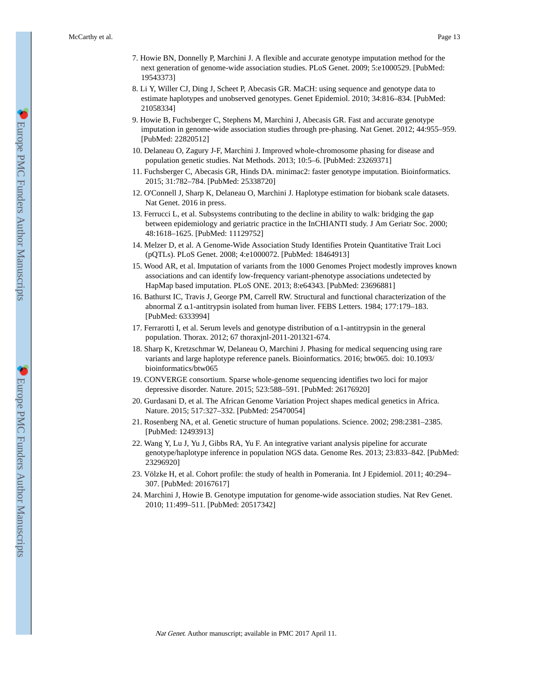- 7. Howie BN, Donnelly P, Marchini J. A flexible and accurate genotype imputation method for the next generation of genome-wide association studies. PLoS Genet. 2009; 5:e1000529. [PubMed: 19543373]
- 8. Li Y, Willer CJ, Ding J, Scheet P, Abecasis GR. MaCH: using sequence and genotype data to estimate haplotypes and unobserved genotypes. Genet Epidemiol. 2010; 34:816–834. [PubMed: 21058334]
- 9. Howie B, Fuchsberger C, Stephens M, Marchini J, Abecasis GR. Fast and accurate genotype imputation in genome-wide association studies through pre-phasing. Nat Genet. 2012; 44:955–959. [PubMed: 22820512]
- 10. Delaneau O, Zagury J-F, Marchini J. Improved whole-chromosome phasing for disease and population genetic studies. Nat Methods. 2013; 10:5–6. [PubMed: 23269371]
- 11. Fuchsberger C, Abecasis GR, Hinds DA. minimac2: faster genotype imputation. Bioinformatics. 2015; 31:782–784. [PubMed: 25338720]
- 12. O'Connell J, Sharp K, Delaneau O, Marchini J. Haplotype estimation for biobank scale datasets. Nat Genet. 2016 in press.
- 13. Ferrucci L, et al. Subsystems contributing to the decline in ability to walk: bridging the gap between epidemiology and geriatric practice in the InCHIANTI study. J Am Geriatr Soc. 2000; 48:1618–1625. [PubMed: 11129752]
- 14. Melzer D, et al. A Genome-Wide Association Study Identifies Protein Quantitative Trait Loci (pQTLs). PLoS Genet. 2008; 4:e1000072. [PubMed: 18464913]
- 15. Wood AR, et al. Imputation of variants from the 1000 Genomes Project modestly improves known associations and can identify low-frequency variant-phenotype associations undetected by HapMap based imputation. PLoS ONE. 2013; 8:e64343. [PubMed: 23696881]
- 16. Bathurst IC, Travis J, George PM, Carrell RW. Structural and functional characterization of the abnormal Z α1-antitrypsin isolated from human liver. FEBS Letters. 1984; 177:179–183. [PubMed: 6333994]
- 17. Ferrarotti I, et al. Serum levels and genotype distribution of α1-antitrypsin in the general population. Thorax. 2012; 67 thoraxjnl-2011-201321-674.
- 18. Sharp K, Kretzschmar W, Delaneau O, Marchini J. Phasing for medical sequencing using rare variants and large haplotype reference panels. Bioinformatics. 2016; btw065. doi: 10.1093/ bioinformatics/btw065
- 19. CONVERGE consortium. Sparse whole-genome sequencing identifies two loci for major depressive disorder. Nature. 2015; 523:588–591. [PubMed: 26176920]
- 20. Gurdasani D, et al. The African Genome Variation Project shapes medical genetics in Africa. Nature. 2015; 517:327–332. [PubMed: 25470054]
- 21. Rosenberg NA, et al. Genetic structure of human populations. Science. 2002; 298:2381–2385. [PubMed: 12493913]
- 22. Wang Y, Lu J, Yu J, Gibbs RA, Yu F. An integrative variant analysis pipeline for accurate genotype/haplotype inference in population NGS data. Genome Res. 2013; 23:833–842. [PubMed: 23296920]
- 23. Völzke H, et al. Cohort profile: the study of health in Pomerania. Int J Epidemiol. 2011; 40:294– 307. [PubMed: 20167617]
- 24. Marchini J, Howie B. Genotype imputation for genome-wide association studies. Nat Rev Genet. 2010; 11:499–511. [PubMed: 20517342]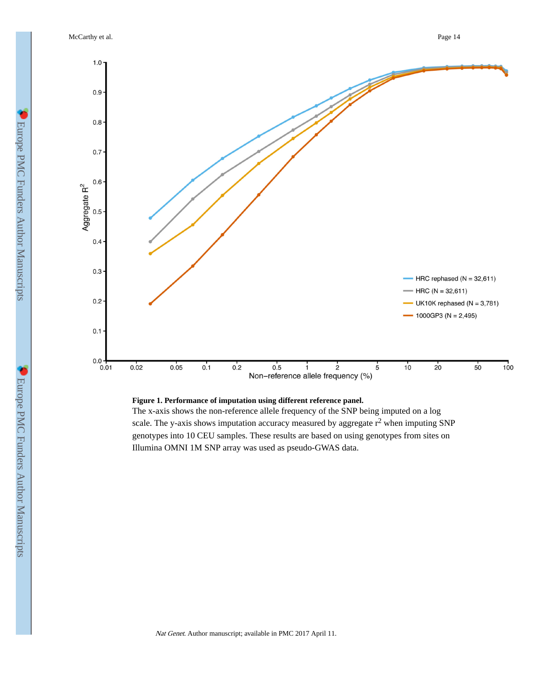McCarthy et al. Page 14



### **Figure 1. Performance of imputation using different reference panel.**

The x-axis shows the non-reference allele frequency of the SNP being imputed on a log scale. The y-axis shows imputation accuracy measured by aggregate  $r^2$  when imputing SNP genotypes into 10 CEU samples. These results are based on using genotypes from sites on Illumina OMNI 1M SNP array was used as pseudo-GWAS data.